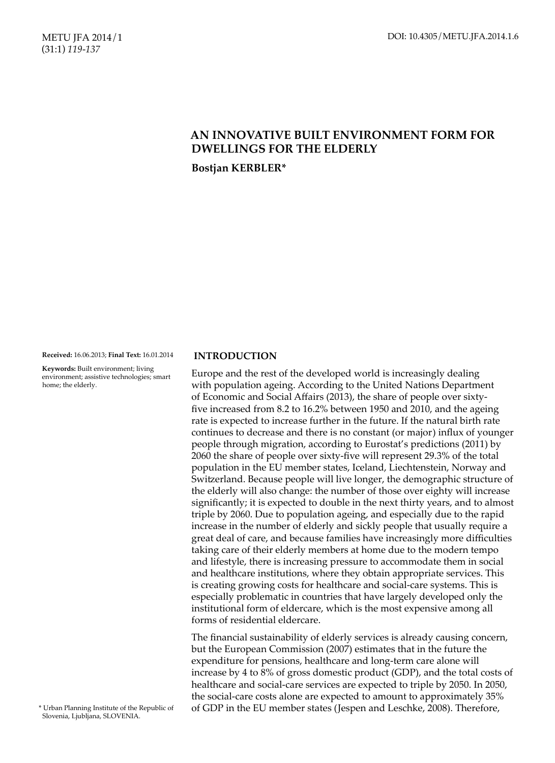## METU JFA 2014/1 (31:1) *119-137*

# **AN INNOVATIVE BUILT ENVIRONMENT FORM FOR DWELLINGS FOR THE ELDERLY**

**Bostjan KERBLER\***

**Received:** 16.06.2013; **Final Text:** 16.01.2014

**Keywords:** Built environment; living environment; assistive technologies; smart home; the elderly.

## **INTRODUCTION**

Europe and the rest of the developed world is increasingly dealing with population ageing. According to the United Nations Department of Economic and Social Affairs (2013), the share of people over sixtyfive increased from 8.2 to 16.2% between 1950 and 2010, and the ageing rate is expected to increase further in the future. If the natural birth rate continues to decrease and there is no constant (or major) influx of younger people through migration, according to Eurostat's predictions (2011) by 2060 the share of people over sixty-five will represent 29.3% of the total population in the EU member states, Iceland, Liechtenstein, Norway and Switzerland. Because people will live longer, the demographic structure of the elderly will also change: the number of those over eighty will increase significantly; it is expected to double in the next thirty years, and to almost triple by 2060. Due to population ageing, and especially due to the rapid increase in the number of elderly and sickly people that usually require a great deal of care, and because families have increasingly more difficulties taking care of their elderly members at home due to the modern tempo and lifestyle, there is increasing pressure to accommodate them in social and healthcare institutions, where they obtain appropriate services. This is creating growing costs for healthcare and social-care systems. This is especially problematic in countries that have largely developed only the institutional form of eldercare, which is the most expensive among all forms of residential eldercare.

The financial sustainability of elderly services is already causing concern, but the European Commission (2007) estimates that in the future the expenditure for pensions, healthcare and long-term care alone will increase by 4 to 8% of gross domestic product (GDP), and the total costs of healthcare and social-care services are expected to triple by 2050. In 2050, the social-care costs alone are expected to amount to approximately 35% of GDP in the EU member states (Jespen and Leschke, 2008). Therefore,

\* Urban Planning Institute of the Republic of Slovenia, Ljubljana, SLOVENIA.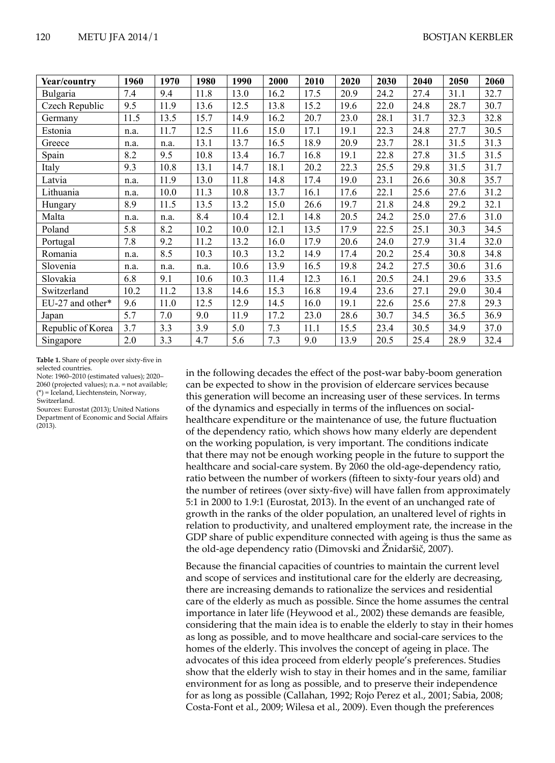| Year/country      | 1960 | 1970 | 1980 | 1990 | 2000 | 2010 | 2020 | 2030 | 2040 | 2050 | 2060 |
|-------------------|------|------|------|------|------|------|------|------|------|------|------|
| Bulgaria          | 7.4  | 9.4  | 11.8 | 13.0 | 16.2 | 17.5 | 20.9 | 24.2 | 27.4 | 31.1 | 32.7 |
| Czech Republic    | 9.5  | 11.9 | 13.6 | 12.5 | 13.8 | 15.2 | 19.6 | 22.0 | 24.8 | 28.7 | 30.7 |
| Germany           | 11.5 | 13.5 | 15.7 | 14.9 | 16.2 | 20.7 | 23.0 | 28.1 | 31.7 | 32.3 | 32.8 |
| Estonia           | n.a. | 11.7 | 12.5 | 11.6 | 15.0 | 17.1 | 19.1 | 22.3 | 24.8 | 27.7 | 30.5 |
| Greece            | n.a. | n.a. | 13.1 | 13.7 | 16.5 | 18.9 | 20.9 | 23.7 | 28.1 | 31.5 | 31.3 |
| Spain             | 8.2  | 9.5  | 10.8 | 13.4 | 16.7 | 16.8 | 19.1 | 22.8 | 27.8 | 31.5 | 31.5 |
| Italy             | 9.3  | 10.8 | 13.1 | 14.7 | 18.1 | 20.2 | 22.3 | 25.5 | 29.8 | 31.5 | 31.7 |
| Latvia            | n.a. | 11.9 | 13.0 | 11.8 | 14.8 | 17.4 | 19.0 | 23.1 | 26.6 | 30.8 | 35.7 |
| Lithuania         | n.a. | 10.0 | 11.3 | 10.8 | 13.7 | 16.1 | 17.6 | 22.1 | 25.6 | 27.6 | 31.2 |
| Hungary           | 8.9  | 11.5 | 13.5 | 13.2 | 15.0 | 26.6 | 19.7 | 21.8 | 24.8 | 29.2 | 32.1 |
| Malta             | n.a. | n.a. | 8.4  | 10.4 | 12.1 | 14.8 | 20.5 | 24.2 | 25.0 | 27.6 | 31.0 |
| Poland            | 5.8  | 8.2  | 10.2 | 10.0 | 12.1 | 13.5 | 17.9 | 22.5 | 25.1 | 30.3 | 34.5 |
| Portugal          | 7.8  | 9.2  | 11.2 | 13.2 | 16.0 | 17.9 | 20.6 | 24.0 | 27.9 | 31.4 | 32.0 |
| Romania           | n.a. | 8.5  | 10.3 | 10.3 | 13.2 | 14.9 | 17.4 | 20.2 | 25.4 | 30.8 | 34.8 |
| Slovenia          | n.a. | n.a. | n.a. | 10.6 | 13.9 | 16.5 | 19.8 | 24.2 | 27.5 | 30.6 | 31.6 |
| Slovakia          | 6.8  | 9.1  | 10.6 | 10.3 | 11.4 | 12.3 | 16.1 | 20.5 | 24.1 | 29.6 | 33.5 |
| Switzerland       | 10.2 | 11.2 | 13.8 | 14.6 | 15.3 | 16.8 | 19.4 | 23.6 | 27.1 | 29.0 | 30.4 |
| EU-27 and other*  | 9.6  | 11.0 | 12.5 | 12.9 | 14.5 | 16.0 | 19.1 | 22.6 | 25.6 | 27.8 | 29.3 |
| Japan             | 5.7  | 7.0  | 9.0  | 11.9 | 17.2 | 23.0 | 28.6 | 30.7 | 34.5 | 36.5 | 36.9 |
| Republic of Korea | 3.7  | 3.3  | 3.9  | 5.0  | 7.3  | 11.1 | 15.5 | 23.4 | 30.5 | 34.9 | 37.0 |
| Singapore         | 2.0  | 3.3  | 4.7  | 5.6  | 7.3  | 9.0  | 13.9 | 20.5 | 25.4 | 28.9 | 32.4 |

**Table 1.** Share of people over sixty-five in selected countries.

Note: 1960–2010 (estimated values); 2020– 2060 (projected values); n.a. = not available; (\*) = Iceland, Liechtenstein, Norway,

Switzerland.

Sources: Eurostat (2013); United Nations Department of Economic and Social Affairs  $(2013)$ .

in the following decades the effect of the post-war baby-boom generation can be expected to show in the provision of eldercare services because this generation will become an increasing user of these services. In terms of the dynamics and especially in terms of the influences on socialhealthcare expenditure or the maintenance of use, the future fluctuation of the dependency ratio, which shows how many elderly are dependent on the working population, is very important. The conditions indicate that there may not be enough working people in the future to support the healthcare and social-care system. By 2060 the old-age-dependency ratio, ratio between the number of workers (fifteen to sixty-four years old) and the number of retirees (over sixty-five) will have fallen from approximately 5:1 in 2000 to 1.9:1 (Eurostat, 2013). In the event of an unchanged rate of growth in the ranks of the older population, an unaltered level of rights in relation to productivity, and unaltered employment rate, the increase in the GDP share of public expenditure connected with ageing is thus the same as the old-age dependency ratio (Dimovski and Žnidaršič, 2007).

Because the financial capacities of countries to maintain the current level and scope of services and institutional care for the elderly are decreasing, there are increasing demands to rationalize the services and residential care of the elderly as much as possible. Since the home assumes the central importance in later life (Heywood et al., 2002) these demands are feasible, considering that the main idea is to enable the elderly to stay in their homes as long as possible, and to move healthcare and social-care services to the homes of the elderly. This involves the concept of ageing in place. The advocates of this idea proceed from elderly people's preferences. Studies show that the elderly wish to stay in their homes and in the same, familiar environment for as long as possible, and to preserve their independence for as long as possible (Callahan, 1992; Rojo Perez et al., 2001; Sabia, 2008; Costa‑Font et al., 2009; Wilesa et al., 2009). Even though the preferences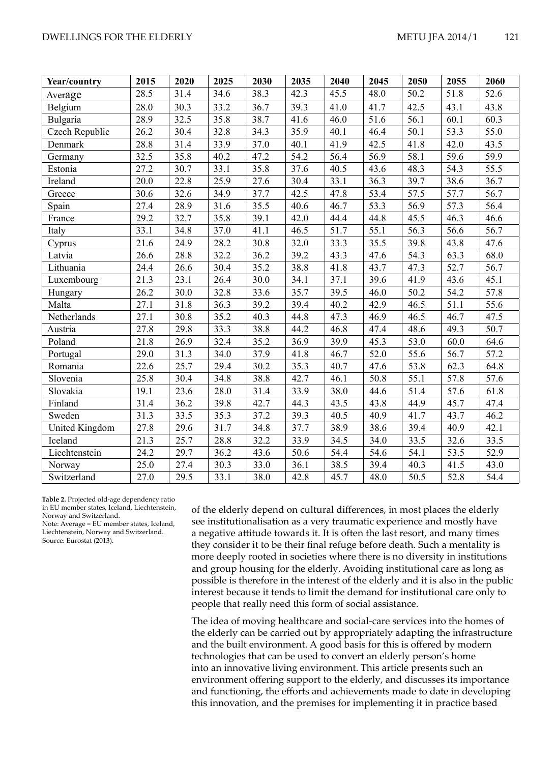## DWELLINGS FOR THE ELDERLY **Example 2014** 121

| Year/country   | 2015 | 2020 | 2025 | $\overline{2030}$ | 2035 | 2040 | 2045 | 2050 | 2055 | 2060 |
|----------------|------|------|------|-------------------|------|------|------|------|------|------|
| Average        | 28.5 | 31.4 | 34.6 | 38.3              | 42.3 | 45.5 | 48.0 | 50.2 | 51.8 | 52.6 |
| Belgium        | 28.0 | 30.3 | 33.2 | 36.7              | 39.3 | 41.0 | 41.7 | 42.5 | 43.1 | 43.8 |
| Bulgaria       | 28.9 | 32.5 | 35.8 | 38.7              | 41.6 | 46.0 | 51.6 | 56.1 | 60.1 | 60.3 |
| Czech Republic | 26.2 | 30.4 | 32.8 | 34.3              | 35.9 | 40.1 | 46.4 | 50.1 | 53.3 | 55.0 |
| Denmark        | 28.8 | 31.4 | 33.9 | 37.0              | 40.1 | 41.9 | 42.5 | 41.8 | 42.0 | 43.5 |
| Germany        | 32.5 | 35.8 | 40.2 | 47.2              | 54.2 | 56.4 | 56.9 | 58.1 | 59.6 | 59.9 |
| Estonia        | 27.2 | 30.7 | 33.1 | 35.8              | 37.6 | 40.5 | 43.6 | 48.3 | 54.3 | 55.5 |
| Ireland        | 20.0 | 22.8 | 25.9 | 27.6              | 30.4 | 33.1 | 36.3 | 39.7 | 38.6 | 36.7 |
| Greece         | 30.6 | 32.6 | 34.9 | 37.7              | 42.5 | 47.8 | 53.4 | 57.5 | 57.7 | 56.7 |
| Spain          | 27.4 | 28.9 | 31.6 | 35.5              | 40.6 | 46.7 | 53.3 | 56.9 | 57.3 | 56.4 |
| France         | 29.2 | 32.7 | 35.8 | 39.1              | 42.0 | 44.4 | 44.8 | 45.5 | 46.3 | 46.6 |
| Italy          | 33.1 | 34.8 | 37.0 | 41.1              | 46.5 | 51.7 | 55.1 | 56.3 | 56.6 | 56.7 |
| Cyprus         | 21.6 | 24.9 | 28.2 | 30.8              | 32.0 | 33.3 | 35.5 | 39.8 | 43.8 | 47.6 |
| Latvia         | 26.6 | 28.8 | 32.2 | 36.2              | 39.2 | 43.3 | 47.6 | 54.3 | 63.3 | 68.0 |
| Lithuania      | 24.4 | 26.6 | 30.4 | 35.2              | 38.8 | 41.8 | 43.7 | 47.3 | 52.7 | 56.7 |
| Luxembourg     | 21.3 | 23.1 | 26.4 | 30.0              | 34.1 | 37.1 | 39.6 | 41.9 | 43.6 | 45.1 |
| Hungary        | 26.2 | 30.0 | 32.8 | 33.6              | 35.7 | 39.5 | 46.0 | 50.2 | 54.2 | 57.8 |
| Malta          | 27.1 | 31.8 | 36.3 | 39.2              | 39.4 | 40.2 | 42.9 | 46.5 | 51.1 | 55.6 |
| Netherlands    | 27.1 | 30.8 | 35.2 | 40.3              | 44.8 | 47.3 | 46.9 | 46.5 | 46.7 | 47.5 |
| Austria        | 27.8 | 29.8 | 33.3 | 38.8              | 44.2 | 46.8 | 47.4 | 48.6 | 49.3 | 50.7 |
| Poland         | 21.8 | 26.9 | 32.4 | 35.2              | 36.9 | 39.9 | 45.3 | 53.0 | 60.0 | 64.6 |
| Portugal       | 29.0 | 31.3 | 34.0 | 37.9              | 41.8 | 46.7 | 52.0 | 55.6 | 56.7 | 57.2 |
| Romania        | 22.6 | 25.7 | 29.4 | 30.2              | 35.3 | 40.7 | 47.6 | 53.8 | 62.3 | 64.8 |
| Slovenia       | 25.8 | 30.4 | 34.8 | 38.8              | 42.7 | 46.1 | 50.8 | 55.1 | 57.8 | 57.6 |
| Slovakia       | 19.1 | 23.6 | 28.0 | 31.4              | 33.9 | 38.0 | 44.6 | 51.4 | 57.6 | 61.8 |
| Finland        | 31.4 | 36.2 | 39.8 | 42.7              | 44.3 | 43.5 | 43.8 | 44.9 | 45.7 | 47.4 |
| Sweden         | 31.3 | 33.5 | 35.3 | 37.2              | 39.3 | 40.5 | 40.9 | 41.7 | 43.7 | 46.2 |
| United Kingdom | 27.8 | 29.6 | 31.7 | 34.8              | 37.7 | 38.9 | 38.6 | 39.4 | 40.9 | 42.1 |
| Iceland        | 21.3 | 25.7 | 28.8 | 32.2              | 33.9 | 34.5 | 34.0 | 33.5 | 32.6 | 33.5 |
| Liechtenstein  | 24.2 | 29.7 | 36.2 | 43.6              | 50.6 | 54.4 | 54.6 | 54.1 | 53.5 | 52.9 |
| Norway         | 25.0 | 27.4 | 30.3 | 33.0              | 36.1 | 38.5 | 39.4 | 40.3 | 41.5 | 43.0 |
| Switzerland    | 27.0 | 29.5 | 33.1 | 38.0              | 42.8 | 45.7 | 48.0 | 50.5 | 52.8 | 54.4 |

**Table 2.** Projected old-age dependency ratio in EU member states, Iceland, Liechtenstein, Norway and Switzerland.

Note: Average = EU member states, Iceland, Liechtenstein, Norway and Switzerland. Source: Eurostat (2013).

of the elderly depend on cultural differences, in most places the elderly see institutionalisation as a very traumatic experience and mostly have a negative attitude towards it. It is often the last resort, and many times they consider it to be their final refuge before death. Such a mentality is more deeply rooted in societies where there is no diversity in institutions and group housing for the elderly. Avoiding institutional care as long as possible is therefore in the interest of the elderly and it is also in the public interest because it tends to limit the demand for institutional care only to people that really need this form of social assistance.

The idea of moving healthcare and social-care services into the homes of the elderly can be carried out by appropriately adapting the infrastructure and the built environment. A good basis for this is offered by modern technologies that can be used to convert an elderly person's home into an innovative living environment. This article presents such an environment offering support to the elderly, and discusses its importance and functioning, the efforts and achievements made to date in developing this innovation, and the premises for implementing it in practice based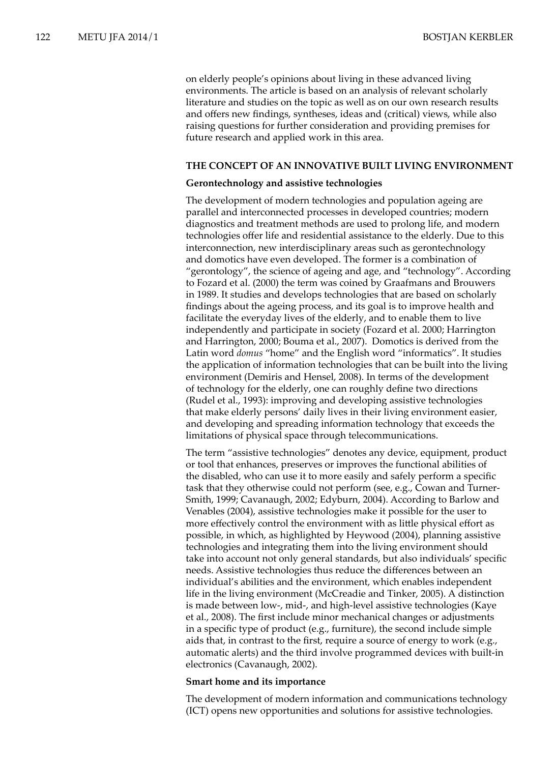on elderly people's opinions about living in these advanced living environments. The article is based on an analysis of relevant scholarly literature and studies on the topic as well as on our own research results and offers new findings, syntheses, ideas and (critical) views, while also raising questions for further consideration and providing premises for future research and applied work in this area.

#### **THE CONCEPT OF AN INNOVATIVE BUILT LIVING ENVIRONMENT**

#### **Gerontechnology and assistive technologies**

The development of modern technologies and population ageing are parallel and interconnected processes in developed countries; modern diagnostics and treatment methods are used to prolong life, and modern technologies offer life and residential assistance to the elderly. Due to this interconnection, new interdisciplinary areas such as gerontechnology and domotics have even developed. The former is a combination of "gerontology", the science of ageing and age, and "technology". According to Fozard et al. (2000) the term was coined by Graafmans and Brouwers in 1989. It studies and develops technologies that are based on scholarly findings about the ageing process, and its goal is to improve health and facilitate the everyday lives of the elderly, and to enable them to live independently and participate in society (Fozard et al. 2000; Harrington and Harrington, 2000; Bouma et al., 2007). Domotics is derived from the Latin word *domus* "home" and the English word "informatics". It studies the application of information technologies that can be built into the living environment (Demiris and Hensel, 2008). In terms of the development of technology for the elderly, one can roughly define two directions (Rudel et al., 1993): improving and developing assistive technologies that make elderly persons' daily lives in their living environment easier, and developing and spreading information technology that exceeds the limitations of physical space through telecommunications.

The term "assistive technologies" denotes any device, equipment, product or tool that enhances, preserves or improves the functional abilities of the disabled, who can use it to more easily and safely perform a specific task that they otherwise could not perform (see, e.g., Cowan and Turner-Smith, 1999; Cavanaugh, 2002; Edyburn, 2004). According to Barlow and Venables (2004), assistive technologies make it possible for the user to more effectively control the environment with as little physical effort as possible, in which, as highlighted by Heywood (2004), planning assistive technologies and integrating them into the living environment should take into account not only general standards, but also individuals' specific needs. Assistive technologies thus reduce the differences between an individual's abilities and the environment, which enables independent life in the living environment (McCreadie and Tinker, 2005). A distinction is made between low-, mid-, and high-level assistive technologies (Kaye et al., 2008). The first include minor mechanical changes or adjustments in a specific type of product (e.g., furniture), the second include simple aids that, in contrast to the first, require a source of energy to work (e.g., automatic alerts) and the third involve programmed devices with built-in electronics (Cavanaugh, 2002).

#### **Smart home and its importance**

The development of modern information and communications technology (ICT) opens new opportunities and solutions for assistive technologies.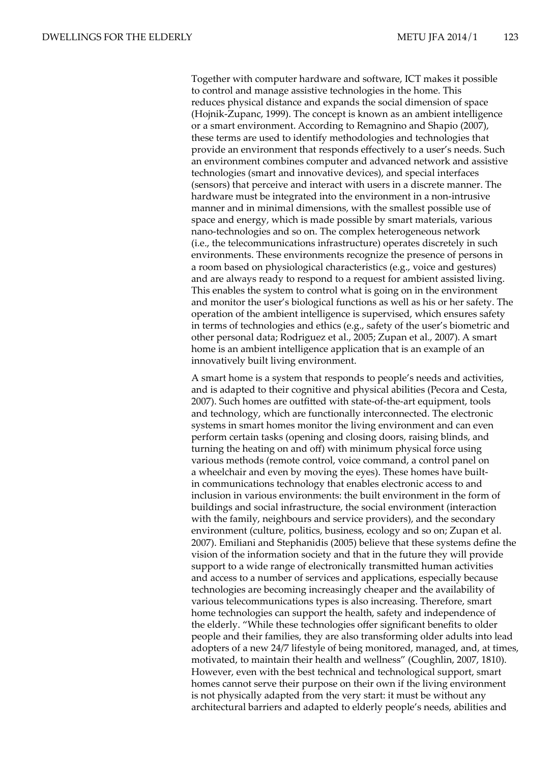Together with computer hardware and software, ICT makes it possible to control and manage assistive technologies in the home. This reduces physical distance and expands the social dimension of space (Hojnik‑Zupanc, 1999). The concept is known as an ambient intelligence or a smart environment. According to Remagnino and Shapio (2007), these terms are used to identify methodologies and technologies that provide an environment that responds effectively to a user's needs. Such an environment combines computer and advanced network and assistive technologies (smart and innovative devices), and special interfaces (sensors) that perceive and interact with users in a discrete manner. The hardware must be integrated into the environment in a non-intrusive manner and in minimal dimensions, with the smallest possible use of space and energy, which is made possible by smart materials, various nano-technologies and so on. The complex heterogeneous network (i.e., the telecommunications infrastructure) operates discretely in such environments. These environments recognize the presence of persons in a room based on physiological characteristics (e.g., voice and gestures) and are always ready to respond to a request for ambient assisted living. This enables the system to control what is going on in the environment and monitor the user's biological functions as well as his or her safety. The operation of the ambient intelligence is supervised, which ensures safety in terms of technologies and ethics (e.g., safety of the user's biometric and other personal data; Rodriguez et al., 2005; Zupan et al., 2007). A smart home is an ambient intelligence application that is an example of an innovatively built living environment.

A smart home is a system that responds to people's needs and activities, and is adapted to their cognitive and physical abilities (Pecora and Cesta, 2007). Such homes are outfitted with state-of-the-art equipment, tools and technology, which are functionally interconnected. The electronic systems in smart homes monitor the living environment and can even perform certain tasks (opening and closing doors, raising blinds, and turning the heating on and off) with minimum physical force using various methods (remote control, voice command, a control panel on a wheelchair and even by moving the eyes). These homes have builtin communications technology that enables electronic access to and inclusion in various environments: the built environment in the form of buildings and social infrastructure, the social environment (interaction with the family, neighbours and service providers), and the secondary environment (culture, politics, business, ecology and so on; Zupan et al. 2007). Emiliani and Stephanidis (2005) believe that these systems define the vision of the information society and that in the future they will provide support to a wide range of electronically transmitted human activities and access to a number of services and applications, especially because technologies are becoming increasingly cheaper and the availability of various telecommunications types is also increasing. Therefore, smart home technologies can support the health, safety and independence of the elderly. "While these technologies offer significant benefits to older people and their families, they are also transforming older adults into lead adopters of a new 24/7 lifestyle of being monitored, managed, and, at times, motivated, to maintain their health and wellness" (Coughlin, 2007, 1810). However, even with the best technical and technological support, smart homes cannot serve their purpose on their own if the living environment is not physically adapted from the very start: it must be without any architectural barriers and adapted to elderly people's needs, abilities and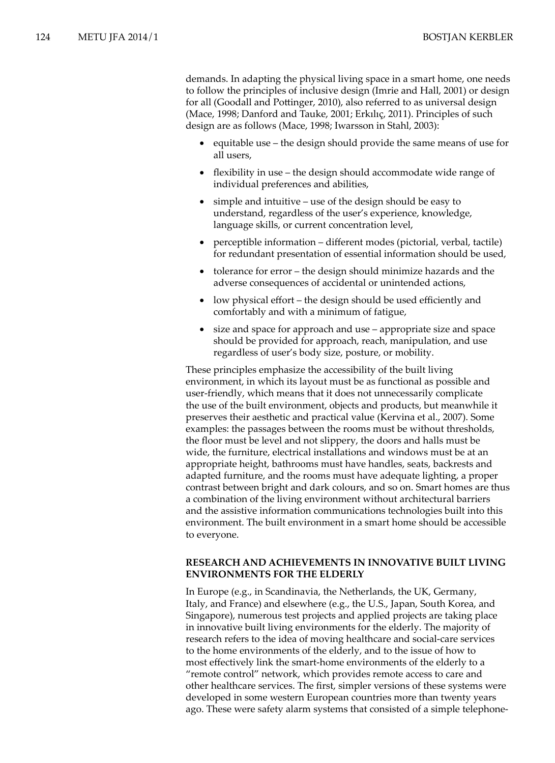demands. In adapting the physical living space in a smart home, one needs to follow the principles of inclusive design (Imrie and Hall, 2001) or design for all (Goodall and Pottinger, 2010), also referred to as universal design (Mace, 1998; Danford and Tauke, 2001; Erkılıç, 2011). Principles of such design are as follows (Mace, 1998; Iwarsson in Stahl, 2003):

- equitable use the design should provide the same means of use for all users,
- flexibility in use  $-$  the design should accommodate wide range of individual preferences and abilities,
- $\sin p$  and intuitive use of the design should be easy to understand, regardless of the user's experience, knowledge, language skills, or current concentration level,
- perceptible information different modes (pictorial, verbal, tactile) for redundant presentation of essential information should be used,
- tolerance for error the design should minimize hazards and the adverse consequences of accidental or unintended actions,
- low physical effort the design should be used efficiently and comfortably and with a minimum of fatigue,
- size and space for approach and use  $-$  appropriate size and space should be provided for approach, reach, manipulation, and use regardless of user's body size, posture, or mobility.

These principles emphasize the accessibility of the built living environment, in which its layout must be as functional as possible and user-friendly, which means that it does not unnecessarily complicate the use of the built environment, objects and products, but meanwhile it preserves their aesthetic and practical value (Kervina et al., 2007). Some examples: the passages between the rooms must be without thresholds, the floor must be level and not slippery, the doors and halls must be wide, the furniture, electrical installations and windows must be at an appropriate height, bathrooms must have handles, seats, backrests and adapted furniture, and the rooms must have adequate lighting, a proper contrast between bright and dark colours, and so on. Smart homes are thus a combination of the living environment without architectural barriers and the assistive information communications technologies built into this environment. The built environment in a smart home should be accessible to everyone.

## **RESEARCH AND ACHIEVEMENTS IN INNOVATIVE BUILT LIVING ENVIRONMENTS FOR THE ELDERLY**

In Europe (e.g., in Scandinavia, the Netherlands, the UK, Germany, Italy, and France) and elsewhere (e.g., the U.S., Japan, South Korea, and Singapore), numerous test projects and applied projects are taking place in innovative built living environments for the elderly. The majority of research refers to the idea of moving healthcare and social-care services to the home environments of the elderly, and to the issue of how to most effectively link the smart-home environments of the elderly to a "remote control" network, which provides remote access to care and other healthcare services. The first, simpler versions of these systems were developed in some western European countries more than twenty years ago. These were safety alarm systems that consisted of a simple telephone-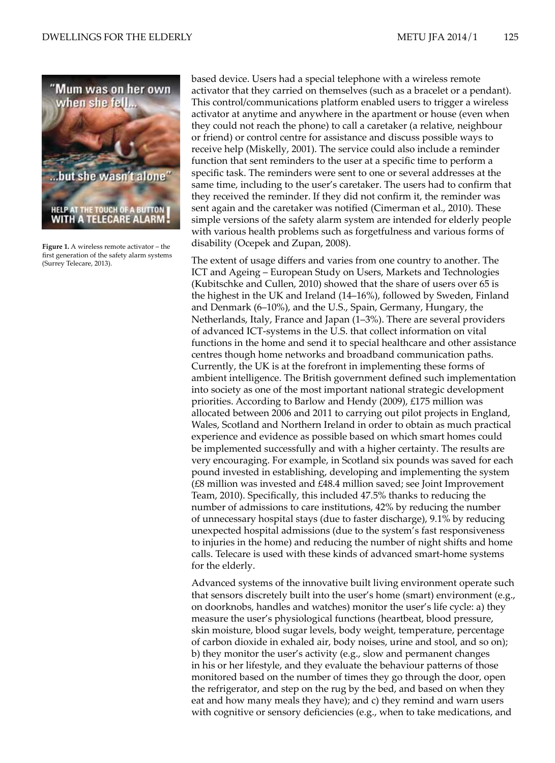

**Figure 1.** A wireless remote activator – the first generation of the safety alarm systems (Surrey Telecare, 2013).

based device. Users had a special telephone with a wireless remote activator that they carried on themselves (such as a bracelet or a pendant). This control/communications platform enabled users to trigger a wireless activator at anytime and anywhere in the apartment or house (even when they could not reach the phone) to call a caretaker (a relative, neighbour or friend) or control centre for assistance and discuss possible ways to receive help (Miskelly, 2001). The service could also include a reminder function that sent reminders to the user at a specific time to perform a specific task. The reminders were sent to one or several addresses at the same time, including to the user's caretaker. The users had to confirm that they received the reminder. If they did not confirm it, the reminder was sent again and the caretaker was notified (Cimerman et al., 2010). These simple versions of the safety alarm system are intended for elderly people with various health problems such as forgetfulness and various forms of disability (Ocepek and Zupan, 2008).

The extent of usage differs and varies from one country to another. The ICT and Ageing – European Study on Users, Markets and Technologies (Kubitschke and Cullen, 2010) showed that the share of users over 65 is the highest in the UK and Ireland (14–16%), followed by Sweden, Finland and Denmark (6–10%), and the U.S., Spain, Germany, Hungary, the Netherlands, Italy, France and Japan (1–3%). There are several providers of advanced ICT-systems in the U.S. that collect information on vital functions in the home and send it to special healthcare and other assistance centres though home networks and broadband communication paths. Currently, the UK is at the forefront in implementing these forms of ambient intelligence. The British government defined such implementation into society as one of the most important national strategic development priorities. According to Barlow and Hendy (2009), £175 million was allocated between 2006 and 2011 to carrying out pilot projects in England, Wales, Scotland and Northern Ireland in order to obtain as much practical experience and evidence as possible based on which smart homes could be implemented successfully and with a higher certainty. The results are very encouraging. For example, in Scotland six pounds was saved for each pound invested in establishing, developing and implementing the system (£8 million was invested and £48.4 million saved; see Joint Improvement Team, 2010). Specifically, this included 47.5% thanks to reducing the number of admissions to care institutions, 42% by reducing the number of unnecessary hospital stays (due to faster discharge), 9.1% by reducing unexpected hospital admissions (due to the system's fast responsiveness to injuries in the home) and reducing the number of night shifts and home calls. Telecare is used with these kinds of advanced smart-home systems for the elderly.

Advanced systems of the innovative built living environment operate such that sensors discretely built into the user's home (smart) environment (e.g., on doorknobs, handles and watches) monitor the user's life cycle: a) they measure the user's physiological functions (heartbeat, blood pressure, skin moisture, blood sugar levels, body weight, temperature, percentage of carbon dioxide in exhaled air, body noises, urine and stool, and so on); b) they monitor the user's activity (e.g., slow and permanent changes in his or her lifestyle, and they evaluate the behaviour patterns of those monitored based on the number of times they go through the door, open the refrigerator, and step on the rug by the bed, and based on when they eat and how many meals they have); and c) they remind and warn users with cognitive or sensory deficiencies (e.g., when to take medications, and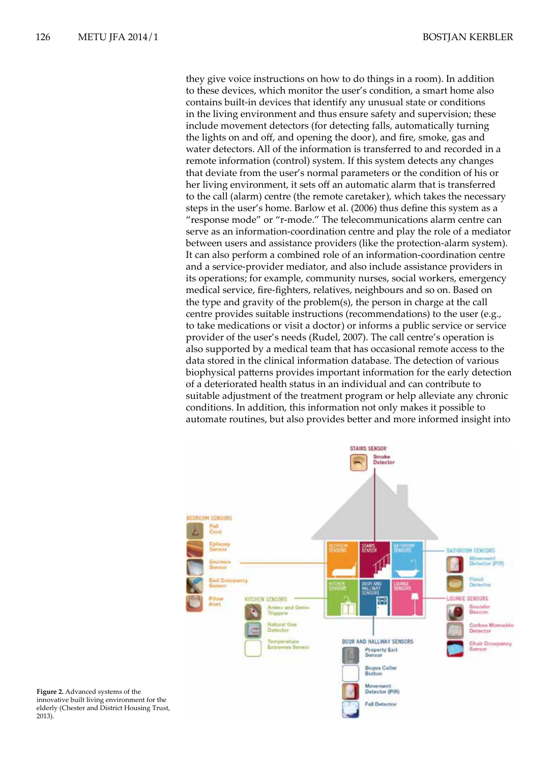they give voice instructions on how to do things in a room). In addition to these devices, which monitor the user's condition, a smart home also contains built-in devices that identify any unusual state or conditions in the living environment and thus ensure safety and supervision; these include movement detectors (for detecting falls, automatically turning the lights on and off, and opening the door), and fire, smoke, gas and water detectors. All of the information is transferred to and recorded in a remote information (control) system. If this system detects any changes that deviate from the user's normal parameters or the condition of his or her living environment, it sets off an automatic alarm that is transferred to the call (alarm) centre (the remote caretaker), which takes the necessary steps in the user's home. Barlow et al. (2006) thus define this system as a "response mode" or "r-mode." The telecommunications alarm centre can serve as an information-coordination centre and play the role of a mediator between users and assistance providers (like the protection-alarm system). It can also perform a combined role of an information-coordination centre and a service-provider mediator, and also include assistance providers in its operations; for example, community nurses, social workers, emergency medical service, fire-fighters, relatives, neighbours and so on. Based on the type and gravity of the problem(s), the person in charge at the call centre provides suitable instructions (recommendations) to the user (e.g., to take medications or visit a doctor) or informs a public service or service provider of the user's needs (Rudel, 2007). The call centre's operation is also supported by a medical team that has occasional remote access to the data stored in the clinical information database. The detection of various biophysical patterns provides important information for the early detection of a deteriorated health status in an individual and can contribute to suitable adjustment of the treatment program or help alleviate any chronic conditions. In addition, this information not only makes it possible to automate routines, but also provides better and more informed insight into



**Figure 2.** Advanced systems of the innovative built living environment for the elderly (Chester and District Housing Trust, 2013).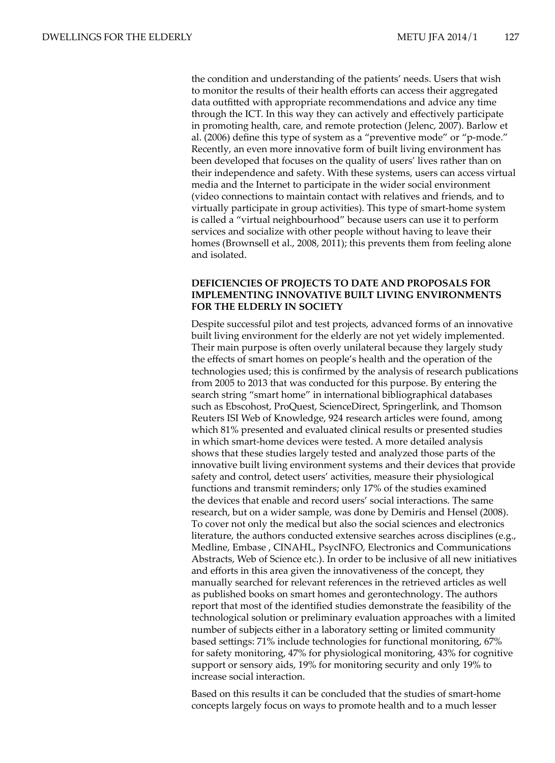the condition and understanding of the patients' needs. Users that wish to monitor the results of their health efforts can access their aggregated data outfitted with appropriate recommendations and advice any time through the ICT. In this way they can actively and effectively participate in promoting health, care, and remote protection (Jelenc, 2007). Barlow et al. (2006) define this type of system as a "preventive mode" or "p-mode." Recently, an even more innovative form of built living environment has been developed that focuses on the quality of users' lives rather than on their independence and safety. With these systems, users can access virtual media and the Internet to participate in the wider social environment (video connections to maintain contact with relatives and friends, and to virtually participate in group activities). This type of smart-home system is called a "virtual neighbourhood" because users can use it to perform services and socialize with other people without having to leave their homes (Brownsell et al., 2008, 2011); this prevents them from feeling alone and isolated.

## **DEFICIENCIES OF PROJECTS TO DATE AND PROPOSALS FOR IMPLEMENTING INNOVATIVE BUILT LIVING ENVIRONMENTS FOR THE ELDERLY IN SOCIETY**

Despite successful pilot and test projects, advanced forms of an innovative built living environment for the elderly are not yet widely implemented. Their main purpose is often overly unilateral because they largely study the effects of smart homes on people's health and the operation of the technologies used; this is confirmed by the analysis of research publications from 2005 to 2013 that was conducted for this purpose. By entering the search string "smart home" in international bibliographical databases such as Ebscohost, ProQuest, ScienceDirect, Springerlink, and Thomson Reuters ISI Web of Knowledge, 924 research articles were found, among which 81% presented and evaluated clinical results or presented studies in which smart-home devices were tested. A more detailed analysis shows that these studies largely tested and analyzed those parts of the innovative built living environment systems and their devices that provide safety and control, detect users' activities, measure their physiological functions and transmit reminders; only 17% of the studies examined the devices that enable and record users' social interactions. The same research, but on a wider sample, was done by Demiris and Hensel (2008). To cover not only the medical but also the social sciences and electronics literature, the authors conducted extensive searches across disciplines (e.g., Medline, Embase , CINAHL, PsycINFO, Electronics and Communications Abstracts, Web of Science etc.). In order to be inclusive of all new initiatives and efforts in this area given the innovativeness of the concept, they manually searched for relevant references in the retrieved articles as well as published books on smart homes and gerontechnology. The authors report that most of the identified studies demonstrate the feasibility of the technological solution or preliminary evaluation approaches with a limited number of subjects either in a laboratory setting or limited community based settings: 71% include technologies for functional monitoring, 67% for safety monitoring, 47% for physiological monitoring, 43% for cognitive support or sensory aids, 19% for monitoring security and only 19% to increase social interaction.

Based on this results it can be concluded that the studies of smart-home concepts largely focus on ways to promote health and to a much lesser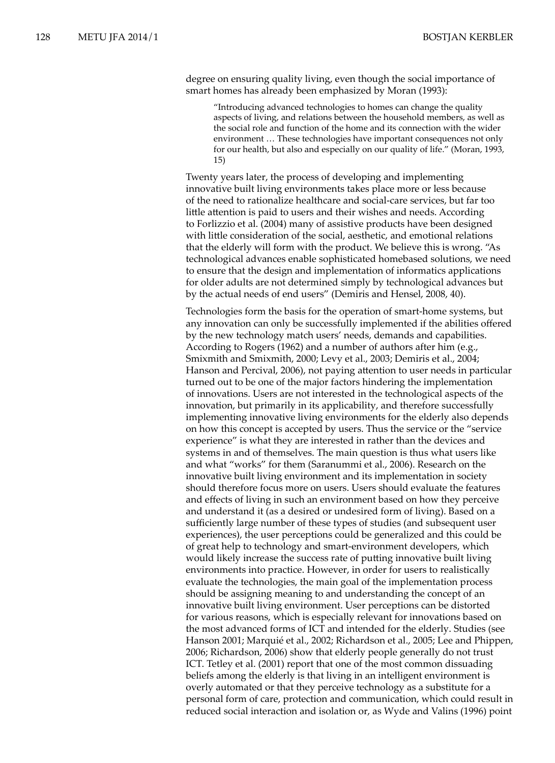degree on ensuring quality living, even though the social importance of smart homes has already been emphasized by Moran (1993):

"Introducing advanced technologies to homes can change the quality aspects of living, and relations between the household members, as well as the social role and function of the home and its connection with the wider environment … These technologies have important consequences not only for our health, but also and especially on our quality of life." (Moran, 1993, 15)

Twenty years later, the process of developing and implementing innovative built living environments takes place more or less because of the need to rationalize healthcare and social-care services, but far too little attention is paid to users and their wishes and needs. According to Forlizzio et al. (2004) many of assistive products have been designed with little consideration of the social, aesthetic, and emotional relations that the elderly will form with the product. We believe this is wrong. "As technological advances enable sophisticated homebased solutions, we need to ensure that the design and implementation of informatics applications for older adults are not determined simply by technological advances but by the actual needs of end users" (Demiris and Hensel, 2008, 40).

Technologies form the basis for the operation of smart-home systems, but any innovation can only be successfully implemented if the abilities offered by the new technology match users' needs, demands and capabilities. According to Rogers (1962) and a number of authors after him (e.g., Smixmith and Smixmith, 2000; Levy et al., 2003; Demiris et al., 2004; Hanson and Percival, 2006), not paying attention to user needs in particular turned out to be one of the major factors hindering the implementation of innovations. Users are not interested in the technological aspects of the innovation, but primarily in its applicability, and therefore successfully implementing innovative living environments for the elderly also depends on how this concept is accepted by users. Thus the service or the "service experience" is what they are interested in rather than the devices and systems in and of themselves. The main question is thus what users like and what "works" for them (Saranummi et al., 2006). Research on the innovative built living environment and its implementation in society should therefore focus more on users. Users should evaluate the features and effects of living in such an environment based on how they perceive and understand it (as a desired or undesired form of living). Based on a sufficiently large number of these types of studies (and subsequent user experiences), the user perceptions could be generalized and this could be of great help to technology and smart-environment developers, which would likely increase the success rate of putting innovative built living environments into practice. However, in order for users to realistically evaluate the technologies, the main goal of the implementation process should be assigning meaning to and understanding the concept of an innovative built living environment. User perceptions can be distorted for various reasons, which is especially relevant for innovations based on the most advanced forms of ICT and intended for the elderly. Studies (see Hanson 2001; Marquié et al., 2002; Richardson et al., 2005; Lee and Phippen, 2006; Richardson, 2006) show that elderly people generally do not trust ICT. Tetley et al. (2001) report that one of the most common dissuading beliefs among the elderly is that living in an intelligent environment is overly automated or that they perceive technology as a substitute for a personal form of care, protection and communication, which could result in reduced social interaction and isolation or, as Wyde and Valins (1996) point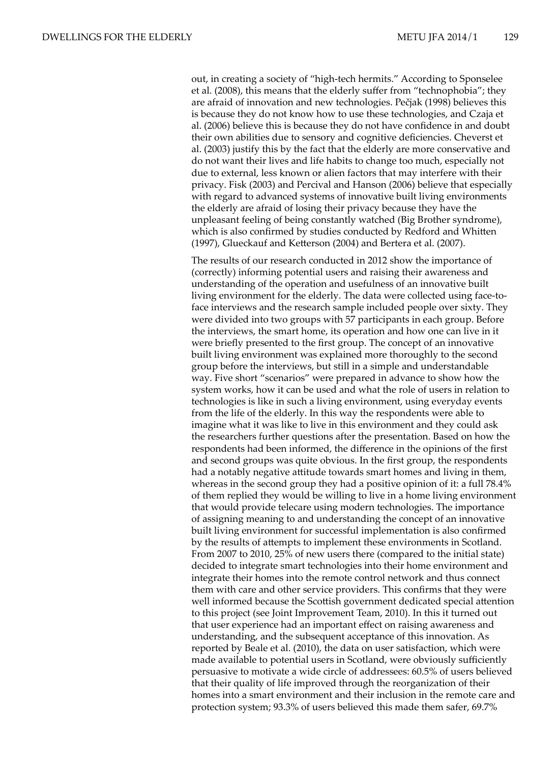out, in creating a society of "high-tech hermits." According to Sponselee et al. (2008), this means that the elderly suffer from "technophobia"; they are afraid of innovation and new technologies. Pečjak (1998) believes this is because they do not know how to use these technologies, and Czaja et al. (2006) believe this is because they do not have confidence in and doubt their own abilities due to sensory and cognitive deficiencies. Cheverst et al. (2003) justify this by the fact that the elderly are more conservative and do not want their lives and life habits to change too much, especially not due to external, less known or alien factors that may interfere with their privacy. Fisk (2003) and Percival and Hanson (2006) believe that especially with regard to advanced systems of innovative built living environments the elderly are afraid of losing their privacy because they have the unpleasant feeling of being constantly watched (Big Brother syndrome), which is also confirmed by studies conducted by Redford and Whitten (1997), Glueckauf and Ketterson (2004) and Bertera et al. (2007).

The results of our research conducted in 2012 show the importance of (correctly) informing potential users and raising their awareness and understanding of the operation and usefulness of an innovative built living environment for the elderly. The data were collected using face-toface interviews and the research sample included people over sixty. They were divided into two groups with 57 participants in each group. Before the interviews, the smart home, its operation and how one can live in it were briefly presented to the first group. The concept of an innovative built living environment was explained more thoroughly to the second group before the interviews, but still in a simple and understandable way. Five short "scenarios" were prepared in advance to show how the system works, how it can be used and what the role of users in relation to technologies is like in such a living environment, using everyday events from the life of the elderly. In this way the respondents were able to imagine what it was like to live in this environment and they could ask the researchers further questions after the presentation. Based on how the respondents had been informed, the difference in the opinions of the first and second groups was quite obvious. In the first group, the respondents had a notably negative attitude towards smart homes and living in them, whereas in the second group they had a positive opinion of it: a full 78.4% of them replied they would be willing to live in a home living environment that would provide telecare using modern technologies. The importance of assigning meaning to and understanding the concept of an innovative built living environment for successful implementation is also confirmed by the results of attempts to implement these environments in Scotland. From 2007 to 2010, 25% of new users there (compared to the initial state) decided to integrate smart technologies into their home environment and integrate their homes into the remote control network and thus connect them with care and other service providers. This confirms that they were well informed because the Scottish government dedicated special attention to this project (see Joint Improvement Team, 2010). In this it turned out that user experience had an important effect on raising awareness and understanding, and the subsequent acceptance of this innovation. As reported by Beale et al. (2010), the data on user satisfaction, which were made available to potential users in Scotland, were obviously sufficiently persuasive to motivate a wide circle of addressees: 60.5% of users believed that their quality of life improved through the reorganization of their homes into a smart environment and their inclusion in the remote care and protection system; 93.3% of users believed this made them safer, 69.7%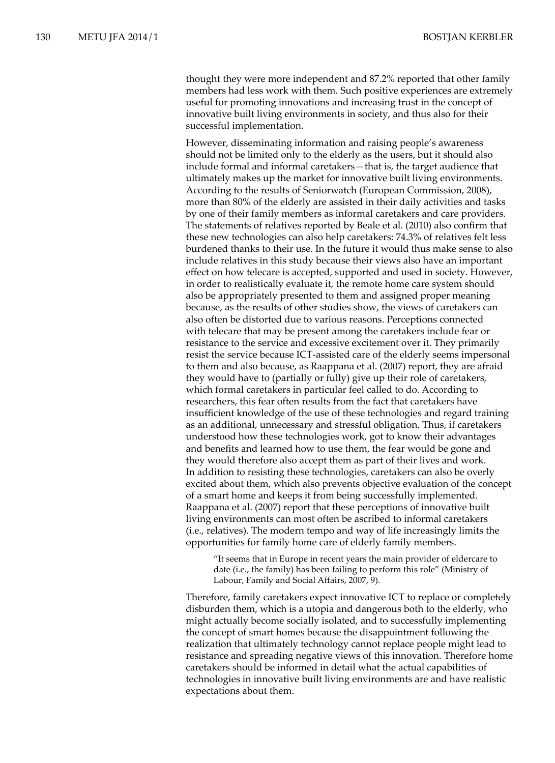thought they were more independent and 87.2% reported that other family members had less work with them. Such positive experiences are extremely useful for promoting innovations and increasing trust in the concept of innovative built living environments in society, and thus also for their successful implementation.

However, disseminating information and raising people's awareness should not be limited only to the elderly as the users, but it should also include formal and informal caretakers—that is, the target audience that ultimately makes up the market for innovative built living environments. According to the results of Seniorwatch (European Commission, 2008), more than 80% of the elderly are assisted in their daily activities and tasks by one of their family members as informal caretakers and care providers. The statements of relatives reported by Beale et al. (2010) also confirm that these new technologies can also help caretakers: 74.3% of relatives felt less burdened thanks to their use. In the future it would thus make sense to also include relatives in this study because their views also have an important effect on how telecare is accepted, supported and used in society. However, in order to realistically evaluate it, the remote home care system should also be appropriately presented to them and assigned proper meaning because, as the results of other studies show, the views of caretakers can also often be distorted due to various reasons. Perceptions connected with telecare that may be present among the caretakers include fear or resistance to the service and excessive excitement over it. They primarily resist the service because ICT-assisted care of the elderly seems impersonal to them and also because, as Raappana et al. (2007) report, they are afraid they would have to (partially or fully) give up their role of caretakers, which formal caretakers in particular feel called to do. According to researchers, this fear often results from the fact that caretakers have insufficient knowledge of the use of these technologies and regard training as an additional, unnecessary and stressful obligation. Thus, if caretakers understood how these technologies work, got to know their advantages and benefits and learned how to use them, the fear would be gone and they would therefore also accept them as part of their lives and work. In addition to resisting these technologies, caretakers can also be overly excited about them, which also prevents objective evaluation of the concept of a smart home and keeps it from being successfully implemented. Raappana et al. (2007) report that these perceptions of innovative built living environments can most often be ascribed to informal caretakers (i.e., relatives). The modern tempo and way of life increasingly limits the opportunities for family home care of elderly family members.

"It seems that in Europe in recent years the main provider of eldercare to date (i.e., the family) has been failing to perform this role" (Ministry of Labour, Family and Social Affairs, 2007, 9).

Therefore, family caretakers expect innovative ICT to replace or completely disburden them, which is a utopia and dangerous both to the elderly, who might actually become socially isolated, and to successfully implementing the concept of smart homes because the disappointment following the realization that ultimately technology cannot replace people might lead to resistance and spreading negative views of this innovation. Therefore home caretakers should be informed in detail what the actual capabilities of technologies in innovative built living environments are and have realistic expectations about them.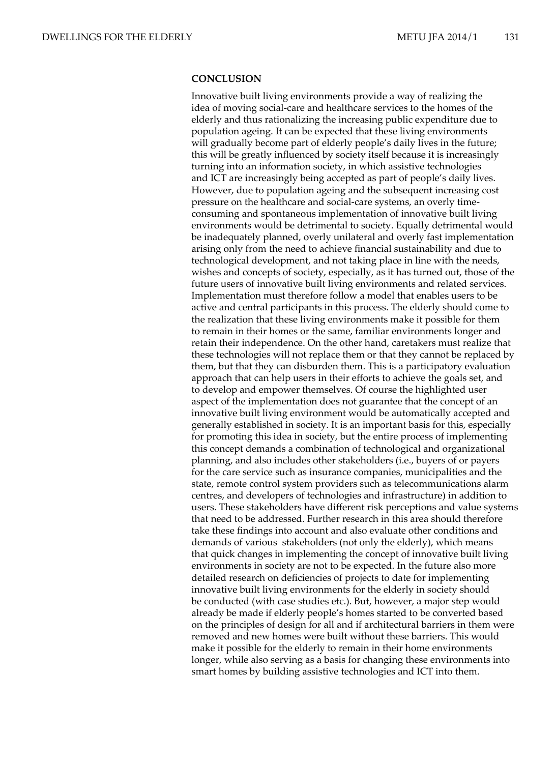### **CONCLUSION**

Innovative built living environments provide a way of realizing the idea of moving social-care and healthcare services to the homes of the elderly and thus rationalizing the increasing public expenditure due to population ageing. It can be expected that these living environments will gradually become part of elderly people's daily lives in the future; this will be greatly influenced by society itself because it is increasingly turning into an information society, in which assistive technologies and ICT are increasingly being accepted as part of people's daily lives. However, due to population ageing and the subsequent increasing cost pressure on the healthcare and social-care systems, an overly timeconsuming and spontaneous implementation of innovative built living environments would be detrimental to society. Equally detrimental would be inadequately planned, overly unilateral and overly fast implementation arising only from the need to achieve financial sustainability and due to technological development, and not taking place in line with the needs, wishes and concepts of society, especially, as it has turned out, those of the future users of innovative built living environments and related services. Implementation must therefore follow a model that enables users to be active and central participants in this process. The elderly should come to the realization that these living environments make it possible for them to remain in their homes or the same, familiar environments longer and retain their independence. On the other hand, caretakers must realize that these technologies will not replace them or that they cannot be replaced by them, but that they can disburden them. This is a participatory evaluation approach that can help users in their efforts to achieve the goals set, and to develop and empower themselves. Of course the highlighted user aspect of the implementation does not guarantee that the concept of an innovative built living environment would be automatically accepted and generally established in society. It is an important basis for this, especially for promoting this idea in society, but the entire process of implementing this concept demands a combination of technological and organizational planning, and also includes other stakeholders (i.e., buyers of or payers for the care service such as insurance companies, municipalities and the state, remote control system providers such as telecommunications alarm centres, and developers of technologies and infrastructure) in addition to users. These stakeholders have different risk perceptions and value systems that need to be addressed. Further research in this area should therefore take these findings into account and also evaluate other conditions and demands of various stakeholders (not only the elderly), which means that quick changes in implementing the concept of innovative built living environments in society are not to be expected. In the future also more detailed research on deficiencies of projects to date for implementing innovative built living environments for the elderly in society should be conducted (with case studies etc.). But, however, a major step would already be made if elderly people's homes started to be converted based on the principles of design for all and if architectural barriers in them were removed and new homes were built without these barriers. This would make it possible for the elderly to remain in their home environments longer, while also serving as a basis for changing these environments into smart homes by building assistive technologies and ICT into them.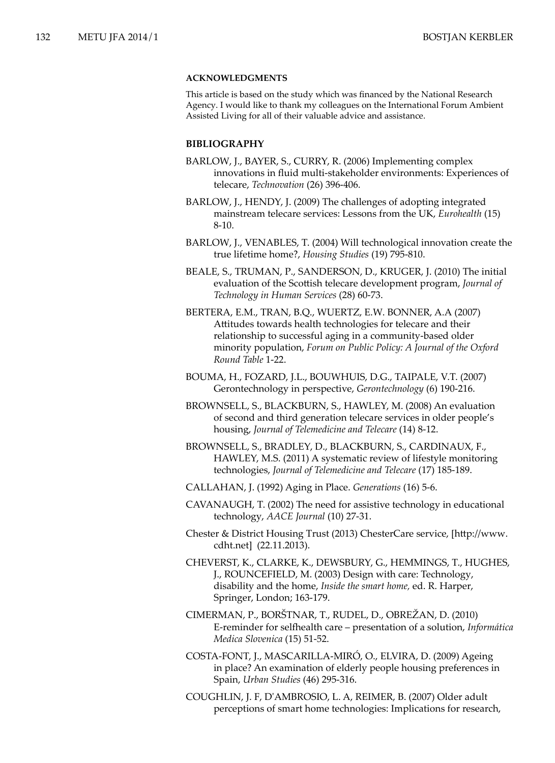## **ACKNOWLEDGMENTS**

This article is based on the study which was financed by the National Research Agency. I would like to thank my colleagues on the International Forum Ambient Assisted Living for all of their valuable advice and assistance.

## **BIBLIOGRAPHY**

- BARLOW, J., BAYER, S., CURRY, R. (2006) Implementing complex innovations in fluid multi-stakeholder environments: Experiences of telecare, *Technovation* (26) 396-406.
- BARLOW, J., HENDY, J. (2009) The challenges of adopting integrated mainstream telecare services: Lessons from the UK, *Eurohealth* (15) 8-10.
- BARLOW, J., VENABLES, T. (2004) Will technological innovation create the true lifetime home?, *Housing Studies* (19) 795-810.
- BEALE, S., TRUMAN, P., SANDERSON, D., KRUGER, J. (2010) The initial evaluation of the Scottish telecare development program, *Journal of Technology in Human Services* (28) 60-73.
- BERTERA, E.M., TRAN, B.Q., WUERTZ, E.W. BONNER, A.A (2007) Attitudes towards health technologies for telecare and their relationship to successful aging in a community-based older minority population, *Forum on Public Policy: A Journal of the Oxford Round Table* 1-22.
- BOUMA, H., FOZARD, J.L., BOUWHUIS, D.G., TAIPALE, V.T. (2007) Gerontechnology in perspective, *Gerontechnology* (6) 190-216.
- BROWNSELL, S., BLACKBURN, S., HAWLEY, M. (2008) An evaluation of second and third generation telecare services in older people's housing, *Journal of Telemedicine and Telecare* (14) 8-12.
- BROWNSELL, S., BRADLEY, D., BLACKBURN, S., CARDINAUX, F., HAWLEY, M.S. (2011) A systematic review of lifestyle monitoring technologies, *Journal of Telemedicine and Telecare* (17) 185-189.
- CALLAHAN, J. (1992) Aging in Place. *Generations* (16) 5-6.
- CAVANAUGH, T. (2002) The need for assistive technology in educational technology, *AACE Journal* (10) 27-31.
- Chester & District Housing Trust (2013) ChesterCare service, [http://www. cdht.net] (22.11.2013).
- CHEVERST, K., CLARKE, K., DEWSBURY, G., HEMMINGS, T., HUGHES, J., ROUNCEFIELD, M. (2003) Design with care: Technology, disability and the home, *Inside the smart home,* ed. R. Harper, Springer, London; 163-179.
- CIMERMAN, P., BORŠTNAR, T., RUDEL, D., OBREŽAN, D. (2010) E-reminder for selfhealth care – presentation of a solution, *Informática Medica Slovenica* (15) 51-52.
- COSTA-FONT, J., MASCARILLA-MIRÓ, O., ELVIRA, D. (2009) Ageing in place? An examination of elderly people housing preferences in Spain, *Urban Studies* (46) 295-316.
- COUGHLIN, J. F, D'AMBROSIO, L. A, REIMER, B. (2007) Older adult perceptions of smart home technologies: Implications for research,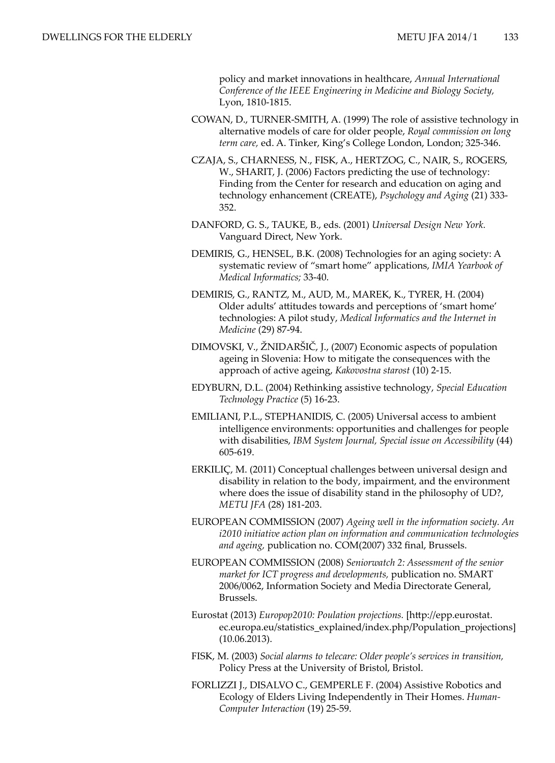policy and market innovations in healthcare, *Annual International Conference of the IEEE Engineering in Medicine and Biology Society,*  Lyon, 1810-1815.

- COWAN, D., TURNER-SMITH, A. (1999) The role of assistive technology in alternative models of care for older people, *Royal commission on long term care,* ed. A. Tinker, King's College London, London; 325-346.
- CZAJA, S., CHARNESS, N., FISK, A., HERTZOG, C., NAIR, S., ROGERS, W., SHARIT, J. (2006) Factors predicting the use of technology: Finding from the Center for research and education on aging and technology enhancement (CREATE), *Psychology and Aging* (21) 333- 352.
- DANFORD, G. S., TAUKE, B., eds. (2001) *Universal Design New York.* Vanguard Direct, New York.
- DEMIRIS, G., HENSEL, B.K. (2008) Technologies for an aging society: A systematic review of "smart home" applications, *IMIA Yearbook of Medical Informatics;* 33-40.
- DEMIRIS, G., RANTZ, M., AUD, M., MAREK, K., TYRER, H. (2004) Older adults' attitudes towards and perceptions of 'smart home' technologies: A pilot study, *Medical Informatics and the Internet in Medicine* (29) 87-94.
- DIMOVSKI, V., ŽNIDARŠIČ, J., (2007) Economic aspects of population ageing in Slovenia: How to mitigate the consequences with the approach of active ageing, *Kakovostna starost* (10) 2-15.
- EDYBURN, D.L. (2004) Rethinking assistive technology, *Special Education Technology Practice* (5) 16-23.
- EMILIANI, P.L., STEPHANIDIS, C. (2005) Universal access to ambient intelligence environments: opportunities and challenges for people with disabilities, *IBM System Journal, Special issue on Accessibility* (44) 605-619.
- ERKILIÇ, M. (2011) Conceptual challenges between universal design and disability in relation to the body, impairment, and the environment where does the issue of disability stand in the philosophy of UD?, *METU JFA* (28) 181-203.
- EUROPEAN COMMISSION (2007) *Ageing well in the information society. An i2010 initiative action plan on information and communication technologies and ageing,* publication no. COM(2007) 332 final, Brussels.
- EUROPEAN COMMISSION (2008) *Seniorwatch 2: Assessment of the senior market for ICT progress and developments,* publication no. SMART 2006/0062, Information Society and Media Directorate General, Brussels.
- Eurostat (2013) *Europop2010: Poulation projections.* [http://epp.eurostat. ec.europa.eu/statistics\_explained/index.php/Population\_projections] (10.06.2013).
- FISK, M. (2003) *Social alarms to telecare: Older people's services in transition,* Policy Press at the University of Bristol, Bristol.
- FORLIZZI J., DISALVO C., GEMPERLE F. (2004) Assistive Robotics and Ecology of Elders Living Independently in Their Homes. *Human-Computer Interaction* (19) 25-59.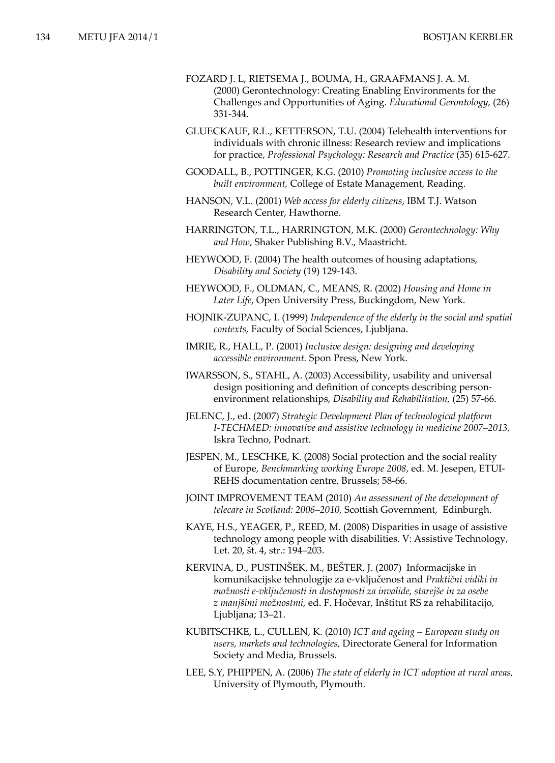- FOZARD J. L, RIETSEMA J., BOUMA, H., GRAAFMANS J. A. M. (2000) Gerontechnology: Creating Enabling Environments for the Challenges and Opportunities of Aging. *Educational Gerontology,* (26) 331-344.
- GLUECKAUF, R.L., KETTERSON, T.U. (2004) Telehealth interventions for individuals with chronic illness: Research review and implications for practice, *Professional Psychology: Research and Practice* (35) 615-627.
- GOODALL, B., POTTINGER, K.G. (2010) *Promoting inclusive access to the built environment,* College of Estate Management, Reading.
- HANSON, V.L. (2001) *Web access for elderly citizens*, IBM T.J. Watson Research Center, Hawthorne.
- HARRINGTON, T.L., HARRINGTON, M.K. (2000) *Gerontechnology: Why and How*, Shaker Publishing B.V., Maastricht.
- HEYWOOD, F. (2004) The health outcomes of housing adaptations, *Disability and Society* (19) 129-143.
- HEYWOOD, F., OLDMAN, C., MEANS, R. (2002) *Housing and Home in Later Life*, Open University Press, Buckingdom, New York.
- HOJNIK-ZUPANC, I. (1999) *Independence of the elderly in the social and spatial contexts,* Faculty of Social Sciences, Ljubljana.
- IMRIE, R., HALL, P. (2001) *Inclusive design: designing and developing accessible environment.* Spon Press, New York.
- IWARSSON, S., STAHL, A. (2003) Accessibility, usability and universal design positioning and definition of concepts describing personenvironment relationships, *Disability and Rehabilitation,* (25) 57-66.
- JELENC, J., ed. (2007) *Strategic Development Plan of technological platform I-TECHMED: innovative and assistive technology in medicine 2007–2013,*  Iskra Techno, Podnart.
- JESPEN, M., LESCHKE, K. (2008) Social protection and the social reality of Europe, *Benchmarking working Europe 2008*, ed. M. Jesepen, ETUI-REHS documentation centre, Brussels; 58-66.
- JOINT IMPROVEMENT TEAM (2010) *An assessment of the development of telecare in Scotland: 2006–2010,* Scottish Government, Edinburgh.
- KAYE, H.S., YEAGER, P., REED, M. (2008) Disparities in usage of assistive technology among people with disabilities. V: Assistive Technology, Let. 20, št. 4, str.: 194–203.
- KERVINA, D., PUSTINŠEK, M., BEŠTER, J. (2007) Informacijske in komunikacijske tehnologije za e-vključenost and *Praktični vidiki in možnosti e-vključenosti in dostopnosti za invalide, starejše in za osebe z manjšimi možnostmi,* ed. F. Hočevar, Inštitut RS za rehabilitacijo, Ljubljana; 13–21.
- KUBITSCHKE, L., CULLEN, K. (2010) *ICT and ageing European study on users, markets and technologies,* Directorate General for Information Society and Media, Brussels.
- LEE, S.Y, PHIPPEN, A. (2006) *The state of elderly in ICT adoption at rural areas,* University of Plymouth, Plymouth.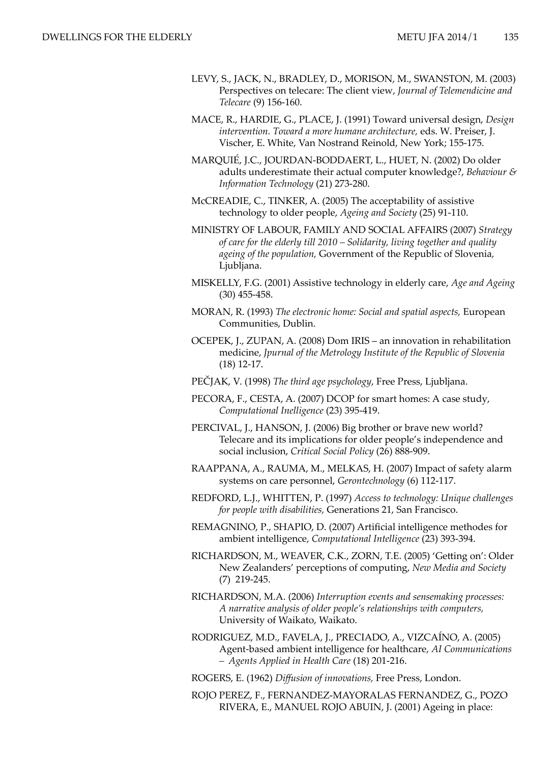- LEVY, S., JACK, N., BRADLEY, D., MORISON, M., SWANSTON, M. (2003) Perspectives on telecare: The client view, *Journal of Telemendicine and Telecare* (9) 156-160.
- MACE, R., HARDIE, G., PLACE, J. (1991) Toward universal design, *Design intervention. Toward a more humane architecture,* eds. W. Preiser, J. Vischer, E. White, Van Nostrand Reinold, New York; 155-175.
- MARQUIÉ, J.C., JOURDAN-BODDAERT, L., HUET, N. (2002) Do older adults underestimate their actual computer knowledge?, *Behaviour & Information Technology* (21) 273-280.
- McCREADIE, C., TINKER, A. (2005) The acceptability of assistive technology to older people, *Ageing and Society* (25) 91-110.
- MINISTRY OF LABOUR, FAMILY AND SOCIAL AFFAIRS (2007) *Strategy of care for the elderly till 2010 – Solidarity, living together and quality ageing of the population,* Government of the Republic of Slovenia*,*  Ljubljana.
- MISKELLY, F.G. (2001) Assistive technology in elderly care, *Age and Ageing*  (30) 455-458.
- MORAN, R. (1993) *The electronic home: Social and spatial aspects,* European Communities, Dublin.
- OCEPEK, J., ZUPAN, A. (2008) Dom IRIS an innovation in rehabilitation medicine, *Jpurnal of the Metrology Institute of the Republic of Slovenia*  (18) 12-17.
- PEČJAK, V. (1998) *The third age psychology*, Free Press, Ljubljana.
- PECORA, F., CESTA, A. (2007) DCOP for smart homes: A case study, *Computational Inelligence* (23) 395-419.
- PERCIVAL, J., HANSON, J. (2006) Big brother or brave new world? Telecare and its implications for older people's independence and social inclusion, *Critical Social Policy* (26) 888-909.
- RAAPPANA, A., RAUMA, M., MELKAS, H. (2007) Impact of safety alarm systems on care personnel, *Gerontechnology* (6) 112-117.
- REDFORD, L.J., WHITTEN, P. (1997) *Access to technology: Unique challenges for people with disabilities,* Generations 21, San Francisco.
- REMAGNINO, P., SHAPIO, D. (2007) Artificial intelligence methodes for ambient intelligence, *Computational Intelligence* (23) 393-394.
- RICHARDSON, M., WEAVER, C.K., ZORN, T.E. (2005) 'Getting on': Older New Zealanders' perceptions of computing, *New Media and Society* (7) 219-245.
- RICHARDSON, M.A. (2006) *Interruption events and sensemaking processes: A narrative analysis of older people's relationships with computers,*  University of Waikato, Waikato.
- RODRIGUEZ, M.D., FAVELA, J., PRECIADO, A., VIZCAÍNO, A. (2005) Agent-based ambient intelligence for healthcare, *AI Communications – Agents Applied in Health Care* (18) 201-216.
- ROGERS, E. (1962) *Diffusion of innovations,* Free Press, London.
- ROJO PEREZ, F., FERNANDEZ-MAYORALAS FERNANDEZ, G., POZO RIVERA, E., MANUEL ROJO ABUIN, J. (2001) Ageing in place: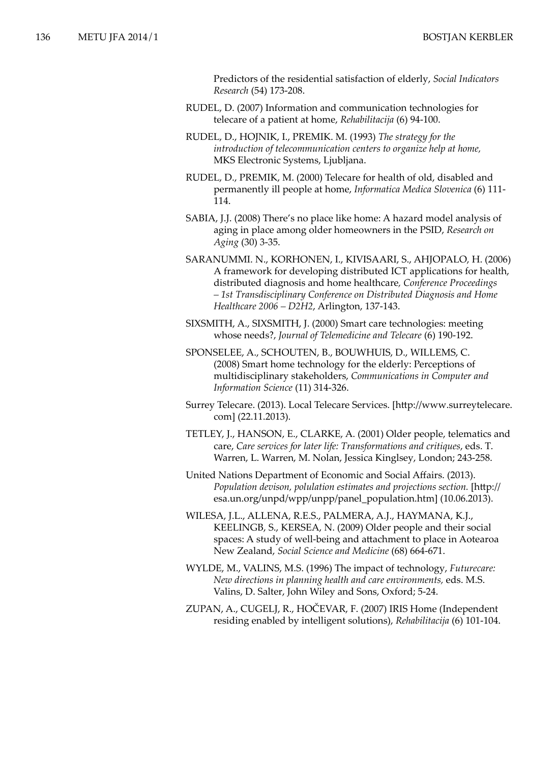Predictors of the residential satisfaction of elderly, *Social Indicators Research* (54) 173-208.

- RUDEL, D. (2007) Information and communication technologies for telecare of a patient at home, *Rehabilitacija* (6) 94-100.
- RUDEL, D., HOJNIK, I., PREMIK. M. (1993) *The strategy for the introduction of telecommunication centers to organize help at home,*  MKS Electronic Systems, Ljubljana.
- RUDEL, D., PREMIK, M. (2000) Telecare for health of old, disabled and permanently ill people at home, *Informatica Medica Slovenica* (6) 111- 114.
- SABIA, J.J. (2008) There's no place like home: A hazard model analysis of aging in place among older homeowners in the PSID, *Research on Aging* (30) 3-35.
- SARANUMMI. N., KORHONEN, I., KIVISAARI, S., AHJOPALO, H. (2006) A framework for developing distributed ICT applications for health, distributed diagnosis and home healthcare*, Conference Proceedings – 1st Transdisciplinary Conference on Distributed Diagnosis and Home Healthcare 2006 – D2H2*, Arlington, 137-143.
- SIXSMITH, A., SIXSMITH, J. (2000) Smart care technologies: meeting whose needs?, *Journal of Telemedicine and Telecare* (6) 190-192.
- SPONSELEE, A., SCHOUTEN, B., BOUWHUIS, D., WILLEMS, C. (2008) Smart home technology for the elderly: Perceptions of multidisciplinary stakeholders, *Communications in Computer and Information Science* (11) 314-326.
- Surrey Telecare. (2013). Local Telecare Services. [http://www.surreytelecare. com] (22.11.2013).
- TETLEY, J., HANSON, E., CLARKE, A. (2001) Older people, telematics and care, *Care services for later life: Transformations and critiques*, eds. T. Warren, L. Warren, M. Nolan, Jessica Kinglsey, London; 243-258.
- United Nations Department of Economic and Social Affairs. (2013). *Population devison, polulation estimates and projections section.* [http:// esa.un.org/unpd/wpp/unpp/panel\_population.htm] (10.06.2013).
- WILESA, J.L., ALLENA, R.E.S., PALMERA, A.J., HAYMANA, K.J., KEELINGB, S., KERSEA, N. (2009) Older people and their social spaces: A study of well-being and attachment to place in Aotearoa New Zealand, *Social Science and Medicine* (68) 664-671.
- WYLDE, M., VALINS, M.S. (1996) The impact of technology, *Futurecare: New directions in planning health and care environments,* eds. M.S. Valins, D. Salter, John Wiley and Sons, Oxford; 5-24.
- ZUPAN, A., CUGELJ, R., HOČEVAR, F. (2007) IRIS Home (Independent residing enabled by intelligent solutions), *Rehabilitacija* (6) 101-104.